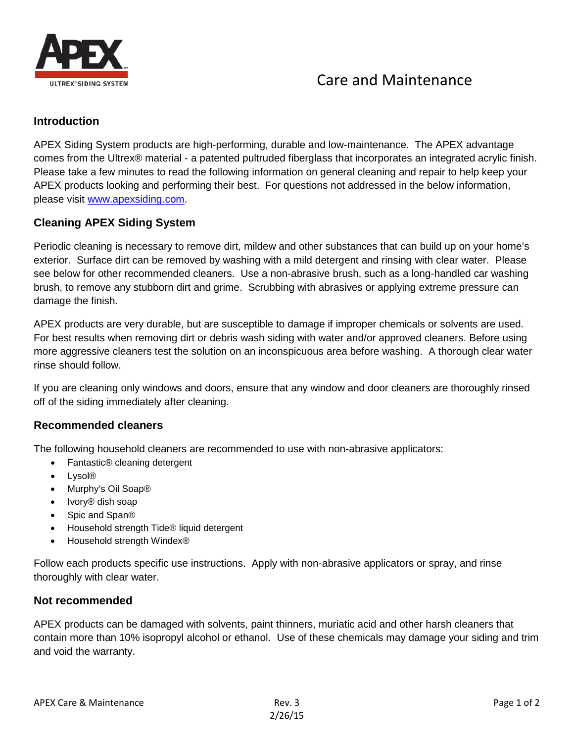

# Care and Maintenance

#### **Introduction**

APEX Siding System products are high-performing, durable and low-maintenance. The APEX advantage comes from the Ultrex® material - a patented pultruded fiberglass that incorporates an integrated acrylic finish. Please take a few minutes to read the following information on general cleaning and repair to help keep your APEX products looking and performing their best. For questions not addressed in the below information, please visit [www.apexsiding.com.](http://www.apexsiding.com/)

### **Cleaning APEX Siding System**

Periodic cleaning is necessary to remove dirt, mildew and other substances that can build up on your home's exterior. Surface dirt can be removed by washing with a mild detergent and rinsing with clear water. Please see below for other recommended cleaners. Use a non-abrasive brush, such as a long-handled car washing brush, to remove any stubborn dirt and grime. Scrubbing with abrasives or applying extreme pressure can damage the finish.

APEX products are very durable, but are susceptible to damage if improper chemicals or solvents are used. For best results when removing dirt or debris wash siding with water and/or approved cleaners. Before using more aggressive cleaners test the solution on an inconspicuous area before washing. A thorough clear water rinse should follow.

If you are cleaning only windows and doors, ensure that any window and door cleaners are thoroughly rinsed off of the siding immediately after cleaning.

### **Recommended cleaners**

The following household cleaners are recommended to use with non-abrasive applicators:

- Fantastic<sup>®</sup> cleaning detergent
- Lysol®
- Murphy's Oil Soap®
- Ivory® dish soap
- Spic and Span®
- Household strength Tide® liquid detergent
- Household strength Windex®

Follow each products specific use instructions. Apply with non-abrasive applicators or spray, and rinse thoroughly with clear water.

#### **Not recommended**

APEX products can be damaged with solvents, paint thinners, muriatic acid and other harsh cleaners that contain more than 10% isopropyl alcohol or ethanol. Use of these chemicals may damage your siding and trim and void the warranty.